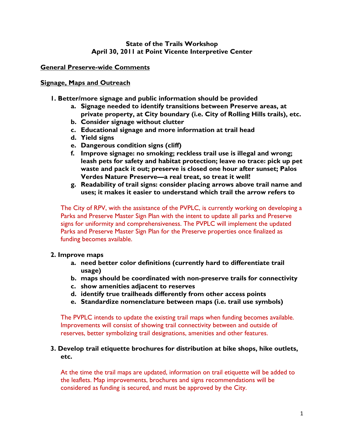# **State of the Trails Workshop April 30, 2011 at Point Vicente Interpretive Center**

# **General Preserve-wide Comments**

# **Signage, Maps and Outreach**

- **1. Better/more signage and public information should be provided** 
	- **a. Signage needed to identify transitions between Preserve areas, at private property, at City boundary (i.e. City of Rolling Hills trails), etc.**
	- **b. Consider signage without clutter**
	- **c. Educational signage and more information at trail head**
	- **d. Yield signs**
	- **e. Dangerous condition signs (cliff)**
	- **f. Improve signage: no smoking; reckless trail use is illegal and wrong; leash pets for safety and habitat protection; leave no trace: pick up pet waste and pack it out; preserve is closed one hour after sunset; Palos Verdes Nature Preserve—a real treat, so treat it well!**
	- **g. Readability of trail signs: consider placing arrows above trail name and uses; it makes it easier to understand which trail the arrow refers to**

The City of RPV, with the assistance of the PVPLC, is currently working on developing a Parks and Preserve Master Sign Plan with the intent to update all parks and Preserve signs for uniformity and comprehensiveness. The PVPLC will implement the updated Parks and Preserve Master Sign Plan for the Preserve properties once finalized as funding becomes available.

# **2. Improve maps**

- **a. need better color definitions (currently hard to differentiate trail usage)**
- **b. maps should be coordinated with non-preserve trails for connectivity**
- **c. show amenities adjacent to reserves**
- **d. identify true trailheads differently from other access points**
- **e. Standardize nomenclature between maps (i.e. trail use symbols)**

The PVPLC intends to update the existing trail maps when funding becomes available. Improvements will consist of showing trail connectivity between and outside of reserves, better symbolizing trail designations, amenities and other features.

## **3. Develop trail etiquette brochures for distribution at bike shops, hike outlets, etc.**

At the time the trail maps are updated, information on trail etiquette will be added to the leaflets. Map improvements, brochures and signs recommendations will be considered as funding is secured, and must be approved by the City.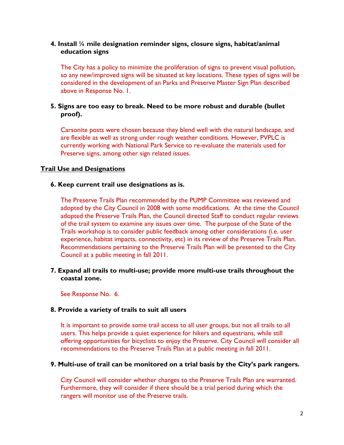# **4. Install ¼ mile designation reminder signs, closure signs, habitat/animal education signs**

The City has a policy to minimize the proliferation of signs to prevent visual pollution, so any new/improved signs will be situated at key locations. These types of signs will be considered in the development of an Parks and Preserve Master Sign Plan described above in Response No. 1.

# **5. Signs are too easy to break. Need to be more robust and durable (bullet proof).**

Carsonite posts were chosen because they blend well with the natural landscape, and are flexible as well as strong under rough weather conditions. However, PVPLC is currently working with National Park Service to re-evaluate the materials used for Preserve signs, among other sign related issues.

# **Trail Use and Designations**

## **6. Keep current trail use designations as is.**

The Preserve Trails Plan recommended by the PUMP Committee was reviewed and adopted by the City Council in 2008 with some modifications. At the time the Council adopted the Preserve Trails Plan, the Council directed Staff to conduct regular reviews of the trail system to examine any issues over time. The purpose of the State of the Trails workshop is to consider public feedback among other considerations (i.e. user experience, habitat impacts, connectivity, etc) in its review of the Preserve Trails Plan. Recommendations pertaining to the Preserve Trails Plan will be presented to the City Council at a public meeting in fall 2011.

# **7. Expand all trails to multi-use; provide more multi-use trails throughout the coastal zone.**

See Response No. 6.

# **8. Provide a variety of trails to suit all users**

It is important to provide some trail access to all user groups, but not all trails to all users. This helps provide a quiet experience for hikers and equestrians, while still offering opportunities for bicyclists to enjoy the Preserve. City Council will consider all recommendations to the Preserve Trails Plan at a public meeting in fall 2011.

# **9. Multi-use of trail can be monitored on a trial basis by the City's park rangers.**

City Council will consider whether changes to the Preserve Trails Plan are warranted. Furthermore, they will consider if there should be a trial period during which the rangers will monitor use of the Preserve trails.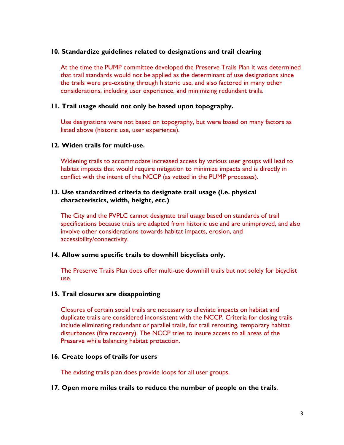### **10. Standardize guidelines related to designations and trail clearing**

At the time the PUMP committee developed the Preserve Trails Plan it was determined that trail standards would not be applied as the determinant of use designations since the trails were pre-existing through historic use, and also factored in many other considerations, including user experience, and minimizing redundant trails.

# **11. Trail usage should not only be based upon topography.**

Use designations were not based on topography, but were based on many factors as listed above (historic use, user experience).

### **12. Widen trails for multi-use.**

Widening trails to accommodate increased access by various user groups will lead to habitat impacts that would require mitigation to minimize impacts and is directly in conflict with the intent of the NCCP (as vetted in the PUMP processes).

### **13. Use standardized criteria to designate trail usage (i.e. physical characteristics, width, height, etc.)**

The City and the PVPLC cannot designate trail usage based on standards of trail specifications because trails are adapted from historic use and are unimproved, and also involve other considerations towards habitat impacts, erosion, and accessibility/connectivity.

### **14. Allow some specific trails to downhill bicyclists only.**

The Preserve Trails Plan does offer multi-use downhill trails but not solely for bicyclist use.

### **15. Trail closures are disappointing**

Closures of certain social trails are necessary to alleviate impacts on habitat and duplicate trails are considered inconsistent with the NCCP. Criteria for closing trails include eliminating redundant or parallel trails, for trail rerouting, temporary habitat disturbances (fire recovery). The NCCP tries to insure access to all areas of the Preserve while balancing habitat protection.

### **16. Create loops of trails for users**

The existing trails plan does provide loops for all user groups.

### **17. Open more miles trails to reduce the number of people on the trails**.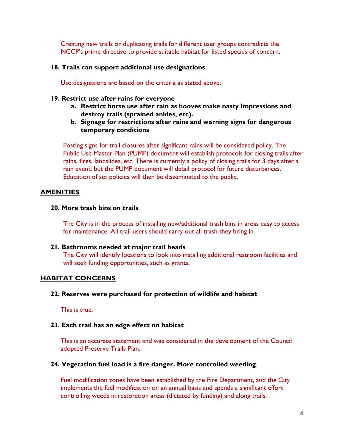Creating new trails or duplicating trails for different user groups contradicts the NCCP's prime directive to provide suitable habitat for listed species of concern.

### **18. Trails can support additional use designations**

Use designations are based on the criteria as stated above.

#### **19. Restrict use after rains for everyone**

- **a. Restrict horse use after rain as hooves make nasty impressions and destroy trails (sprained ankles, etc).**
- **b. Signage for restrictions after rains and warning signs for dangerous temporary conditions**

Posting signs for trail closures after significant rains will be considered policy. The Public Use Master Plan (PUMP) document will establish protocols for closing trails after rains, fires, landslides, etc. There is currently a policy of closing trails for 3 days after a rain event, but the PUMP document will detail protocol for future disturbances. Education of set policies will then be disseminated to the public.

# **AMENITIES**

### **20. More trash bins on trails**

The City is in the process of installing new/additional trash bins in areas easy to access for maintenance. All trail users should carry out all trash they bring in.

### **21. Bathrooms needed at major trail heads**

The City will identify locations to look into installing additional restroom facilities and will seek funding opportunities, such as grants.

### **HABITAT CONCERNS**

### **22. Reserves were purchased for protection of wildlife and habitat**

This is true.

#### **23. Each trail has an edge effect on habitat**

This is an accurate statement and was considered in the development of the Council adopted Preserve Trails Plan.

#### **24. Vegetation fuel load is a fire danger. More controlled weeding**.

Fuel modification zones have been established by the Fire Department, and the City implements the fuel modification on an annual basis and spends a significant effort controlling weeds in restoration areas (dictated by funding) and along trails.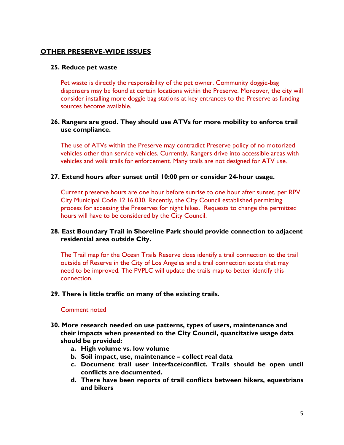# **OTHER PRESERVE-WIDE ISSUES**

## **25. Reduce pet waste**

Pet waste is directly the responsibility of the pet owner. Community doggie-bag dispensers may be found at certain locations within the Preserve. Moreover, the city will consider installing more doggie bag stations at key entrances to the Preserve as funding sources become available.

# **26. Rangers are good. They should use ATVs for more mobility to enforce trail use compliance.**

The use of ATVs within the Preserve may contradict Preserve policy of no motorized vehicles other than service vehicles. Currently, Rangers drive into accessible areas with vehicles and walk trails for enforcement. Many trails are not designed for ATV use.

## **27. Extend hours after sunset until 10:00 pm or consider 24-hour usage.**

Current preserve hours are one hour before sunrise to one hour after sunset, per RPV City Municipal Code 12.16.030. Recently, the City Council established permitting process for accessing the Preserves for night hikes. Requests to change the permitted hours will have to be considered by the City Council.

# **28. East Boundary Trail in Shoreline Park should provide connection to adjacent residential area outside City.**

The Trail map for the Ocean Trails Reserve does identify a trail connection to the trail outside of Reserve in the City of Los Angeles and a trail connection exists that may need to be improved. The PVPLC will update the trails map to better identify this connection.

### **29. There is little traffic on many of the existing trails.**

### Comment noted

- **30. More research needed on use patterns, types of users, maintenance and their impacts when presented to the City Council, quantitative usage data should be provided:** 
	- **a. High volume vs. low volume**
	- **b. Soil impact, use, maintenance collect real data**
	- **c. Document trail user interface/conflict. Trails should be open until conflicts are documented.**
	- **d. There have been reports of trail conflicts between hikers, equestrians and bikers**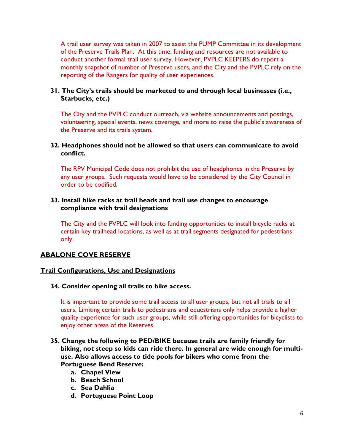A trail user survey was taken in 2007 to assist the PUMP Committee in its development of the Preserve Trails Plan. At this time, funding and resources are not available to conduct another formal trail user survey. However, PVPLC KEEPERS do report a monthly snapshot of number of Preserve users, and the City and the PVPLC rely on the reporting of the Rangers for quality of user experiences.

# **31. The City's trails should be marketed to and through local businesses (i.e., Starbucks, etc.)**

The City and the PVPLC conduct outreach, via website announcements and postings, volunteering, special events, news coverage, and more to raise the public's awareness of the Preserve and its trails system.

# **32. Headphones should not be allowed so that users can communicate to avoid conflict.**

The RPV Municipal Code does not prohibit the use of headphones in the Preserve by any user groups. Such requests would have to be considered by the City Council in order to be codified.

## **33. Install bike racks at trail heads and trail use changes to encourage compliance with trail designations**

The City and the PVPLC will look into funding opportunities to install bicycle racks at certain key trailhead locations, as well as at trail segments designated for pedestrians only.

# **ABALONE COVE RESERVE**

# **Trail Configurations, Use and Designations**

**34. Consider opening all trails to bike access.** 

It is important to provide some trail access to all user groups, but not all trails to all users. Limiting certain trails to pedestrians and equestrians only helps provide a higher quality experience for such user groups, while still offering opportunities for bicyclists to enjoy other areas of the Reserves.

# **35. Change the following to PED/BIKE because trails are family friendly for biking, not steep so kids can ride there. In general are wide enough for multiuse. Also allows access to tide pools for bikers who come from the Portuguese Bend Reserve:**

- **a. Chapel View**
- **b. Beach School**
- **c. Sea Dahlia**
- **d. Portuguese Point Loop**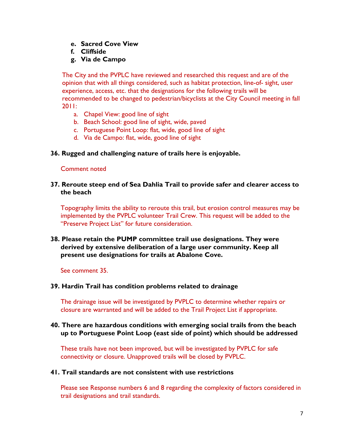- **e. Sacred Cove View**
- **f. Cliffside**
- **g. Via de Campo**

The City and the PVPLC have reviewed and researched this request and are of the opinion that with all things considered, such as habitat protection, line-of- sight, user experience, access, etc. that the designations for the following trails will be recommended to be changed to pedestrian/bicyclists at the City Council meeting in fall 2011:

- a. Chapel View: good line of sight
- b. Beach School: good line of sight, wide, paved
- c. Portuguese Point Loop: flat, wide, good line of sight
- d. Via de Campo: flat, wide, good line of sight

## **36. Rugged and challenging nature of trails here is enjoyable.**

#### Comment noted

### **37. Reroute steep end of Sea Dahlia Trail to provide safer and clearer access to the beach**

Topography limits the ability to reroute this trail, but erosion control measures may be implemented by the PVPLC volunteer Trail Crew. This request will be added to the "Preserve Project List" for future consideration.

## **38. Please retain the PUMP committee trail use designations. They were derived by extensive deliberation of a large user community. Keep all present use designations for trails at Abalone Cove.**

See comment 35.

### **39. Hardin Trail has condition problems related to drainage**

The drainage issue will be investigated by PVPLC to determine whether repairs or closure are warranted and will be added to the Trail Project List if appropriate.

### **40. There are hazardous conditions with emerging social trails from the beach up to Portuguese Point Loop (east side of point) which should be addressed**

These trails have not been improved, but will be investigated by PVPLC for safe connectivity or closure. Unapproved trails will be closed by PVPLC.

### **41. Trail standards are not consistent with use restrictions**

Please see Response numbers 6 and 8 regarding the complexity of factors considered in trail designations and trail standards.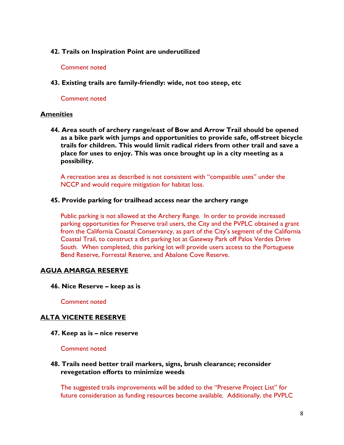### **42. Trails on Inspiration Point are underutilized**

#### Comment noted

**43. Existing trails are family-friendly: wide, not too steep, etc** 

### Comment noted

## **Amenities**

**44. Area south of archery range/east of Bow and Arrow Trail should be opened as a bike park with jumps and opportunities to provide safe, off-street bicycle trails for children. This would limit radical riders from other trail and save a place for uses to enjoy. This was once brought up in a city meeting as a possibility.** 

A recreation area as described is not consistent with "compatible uses" under the NCCP and would require mitigation for habitat loss.

### **45. Provide parking for trailhead access near the archery range**

Public parking is not allowed at the Archery Range. In order to provide increased parking opportunities for Preserve trail users, the City and the PVPLC obtained a grant from the California Coastal Conservancy, as part of the City's segment of the California Coastal Trail, to construct a dirt parking lot at Gateway Park off Palos Verdes Drive South. When completed, this parking lot will provide users access to the Portuguese Bend Reserve, Forrestal Reserve, and Abalone Cove Reserve.

# **AGUA AMARGA RESERVE**

**46. Nice Reserve – keep as is** 

Comment noted

# **ALTA VICENTE RESERVE**

**47. Keep as is – nice reserve** 

Comment noted

## **48. Trails need better trail markers, signs, brush clearance; reconsider revegetation efforts to minimize weeds**

The suggested trails improvements will be added to the "Preserve Project List" for future consideration as funding resources become available. Additionally, the PVPLC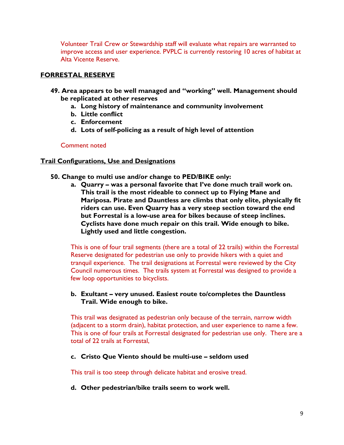Volunteer Trail Crew or Stewardship staff will evaluate what repairs are warranted to improve access and user experience. PVPLC is currently restoring 10 acres of habitat at Alta Vicente Reserve.

# **FORRESTAL RESERVE**

- **49. Area appears to be well managed and "working" well. Management should be replicated at other reserves** 
	- **a. Long history of maintenance and community involvement**
	- **b. Little conflict**
	- **c. Enforcement**
	- **d. Lots of self-policing as a result of high level of attention**

# Comment noted

# **Trail Configurations, Use and Designations**

- **50. Change to multi use and/or change to PED/BIKE only:** 
	- **a. Quarry was a personal favorite that I've done much trail work on. This trail is the most rideable to connect up to Flying Mane and Mariposa. Pirate and Dauntless are climbs that only elite, physically fit riders can use. Even Quarry has a very steep section toward the end but Forrestal is a low-use area for bikes because of steep inclines. Cyclists have done much repair on this trail. Wide enough to bike. Lightly used and little congestion.**

This is one of four trail segments (there are a total of 22 trails) within the Forrestal Reserve designated for pedestrian use only to provide hikers with a quiet and tranquil experience. The trail designations at Forrestal were reviewed by the City Council numerous times. The trails system at Forrestal was designed to provide a few loop opportunities to bicyclists.

# **b. Exultant – very unused. Easiest route to/completes the Dauntless Trail. Wide enough to bike.**

This trail was designated as pedestrian only because of the terrain, narrow width (adjacent to a storm drain), habitat protection, and user experience to name a few. This is one of four trails at Forrestal designated for pedestrian use only. There are a total of 22 trails at Forrestal,

**c. Cristo Que Viento should be multi-use – seldom used** 

This trail is too steep through delicate habitat and erosive tread.

**d. Other pedestrian/bike trails seem to work well.**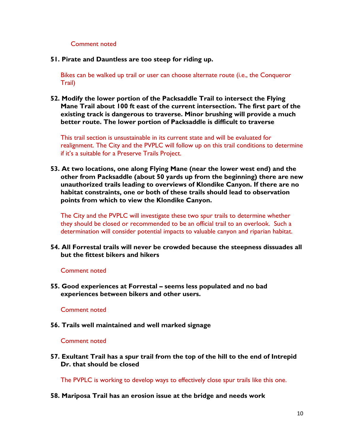### Comment noted

**51. Pirate and Dauntless are too steep for riding up.** 

Bikes can be walked up trail or user can choose alternate route (i.e., the Conqueror Trail)

**52. Modify the lower portion of the Packsaddle Trail to intersect the Flying Mane Trail about 100 ft east of the current intersection. The first part of the existing track is dangerous to traverse. Minor brushing will provide a much better route. The lower portion of Packsaddle is difficult to traverse** 

This trail section is unsustainable in its current state and will be evaluated for realignment. The City and the PVPLC will follow up on this trail conditions to determine if it's a suitable for a Preserve Trails Project.

**53. At two locations, one along Flying Mane (near the lower west end) and the other from Packsaddle (about 50 yards up from the beginning) there are new unauthorized trails leading to overviews of Klondike Canyon. If there are no habitat constraints, one or both of these trails should lead to observation points from which to view the Klondike Canyon.** 

The City and the PVPLC will investigate these two spur trails to determine whether they should be closed or recommended to be an official trail to an overlook. Such a determination will consider potential impacts to valuable canyon and riparian habitat.

**54. All Forrestal trails will never be crowded because the steepness dissuades all but the fittest bikers and hikers** 

### Comment noted

**55. Good experiences at Forrestal – seems less populated and no bad experiences between bikers and other users.** 

#### Comment noted

**56. Trails well maintained and well marked signage** 

#### Comment noted

**57. Exultant Trail has a spur trail from the top of the hill to the end of Intrepid Dr. that should be closed** 

The PVPLC is working to develop ways to effectively close spur trails like this one.

**58. Mariposa Trail has an erosion issue at the bridge and needs work**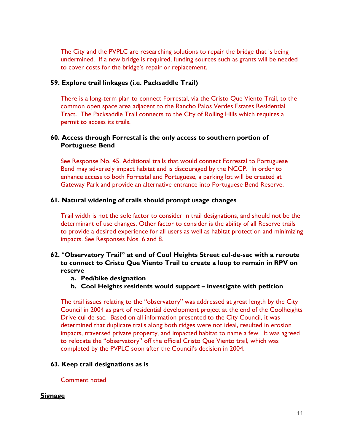The City and the PVPLC are researching solutions to repair the bridge that is being undermined. If a new bridge is required, funding sources such as grants will be needed to cover costs for the bridge's repair or replacement.

## **59. Explore trail linkages (i.e. Packsaddle Trail)**

There is a long-term plan to connect Forrestal, via the Cristo Que Viento Trail, to the common open space area adjacent to the Rancho Palos Verdes Estates Residential Tract. The Packsaddle Trail connects to the City of Rolling Hills which requires a permit to access its trails.

### **60. Access through Forrestal is the only access to southern portion of Portuguese Bend**

See Response No. 45. Additional trails that would connect Forrestal to Portuguese Bend may adversely impact habitat and is discouraged by the NCCP. In order to enhance access to both Forrestal and Portuguese, a parking lot will be created at Gateway Park and provide an alternative entrance into Portuguese Bend Reserve.

### **61. Natural widening of trails should prompt usage changes**

Trail width is not the sole factor to consider in trail designations, and should not be the determinant of use changes. Other factor to consider is the ability of all Reserve trails to provide a desired experience for all users as well as habitat protection and minimizing impacts. See Responses Nos. 6 and 8.

# **62.** "**Observatory Trail" at end of Cool Heights Street cul-de-sac with a reroute to connect to Cristo Que Viento Trail to create a loop to remain in RPV on reserve**

- **a. Ped/bike designation**
- **b. Cool Heights residents would support investigate with petition**

The trail issues relating to the "observatory" was addressed at great length by the City Council in 2004 as part of residential development project at the end of the Coolheights Drive cul-de-sac. Based on all information presented to the City Council, it was determined that duplicate trails along both ridges were not ideal, resulted in erosion impacts, traversed private property, and impacted habitat to name a few. It was agreed to relocate the "observatory" off the official Cristo Que Viento trail, which was completed by the PVPLC soon after the Council's decision in 2004.

### **63. Keep trail designations as is**

Comment noted

# **Signage**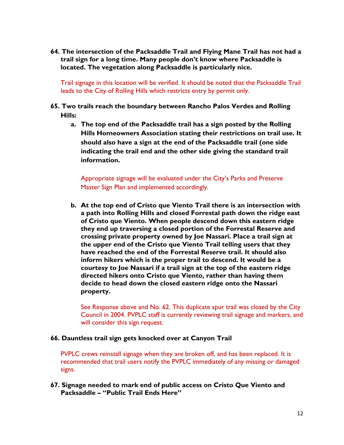**64. The intersection of the Packsaddle Trail and Flying Mane Trail has not had a trail sign for a long time. Many people don't know where Packsaddle is located. The vegetation along Packsaddle is particularly nice.** 

Trail signage in this location will be verified. It should be noted that the Packsaddle Trail leads to the City of Rolling Hills which restricts entry by permit only.

- **65. Two trails reach the boundary between Rancho Palos Verdes and Rolling Hills:** 
	- **a. The top end of the Packsaddle trail has a sign posted by the Rolling Hills Homeowners Association stating their restrictions on trail use. It should also have a sign at the end of the Packsaddle trail (one side indicating the trail end and the other side giving the standard trail information.**

Appropriate signage will be evaluated under the City's Parks and Preserve Master Sign Plan and implemented accordingly.

**b. At the top end of Cristo que Viento Trail there is an intersection with a path into Rolling Hills and closed Forrestal path down the ridge east of Cristo que Viento. When people descend down this eastern ridge they end up traversing a closed portion of the Forrestal Reserve and crossing private property owned by Joe Nassari. Place a trail sign at the upper end of the Cristo que Viento Trail telling users that they have reached the end of the Forrestal Reserve trail. It should also inform hikers which is the proper trail to descend. It would be a courtesy to Joe Nassari if a trail sign at the top of the eastern ridge directed hikers onto Cristo que Viento, rather than having them decide to head down the closed eastern ridge onto the Nassari property.** 

See Response above and No. 62. This duplicate spur trail was closed by the City Council in 2004. PVPLC staff is currently reviewing trail signage and markers, and will consider this sign request.

### **66. Dauntless trail sign gets knocked over at Canyon Trail**

PVPLC crews reinstall signage when they are broken off, and has been replaced. It is recommended that trail users notify the PVPLC immediately of any missing or damaged signs.

**67. Signage needed to mark end of public access on Cristo Que Viento and Packsaddle – "Public Trail Ends Here"**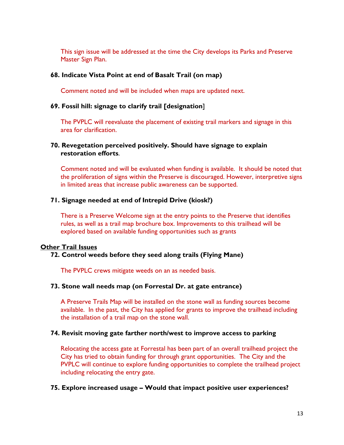This sign issue will be addressed at the time the City develops its Parks and Preserve Master Sign Plan.

### **68. Indicate Vista Point at end of Basalt Trail (on map)**

Comment noted and will be included when maps are updated next.

#### **69. Fossil hill: signage to clarify trail [designation**]

The PVPLC will reevaluate the placement of existing trail markers and signage in this area for clarification.

### **70. Revegetation perceived positively. Should have signage to explain restoration efforts**.

Comment noted and will be evaluated when funding is available. It should be noted that the proliferation of signs within the Preserve is discouraged. However, interpretive signs in limited areas that increase public awareness can be supported.

### **71. Signage needed at end of Intrepid Drive (kiosk?)**

There is a Preserve Welcome sign at the entry points to the Preserve that identifies rules, as well as a trail map brochure box. Improvements to this trailhead will be explored based on available funding opportunities such as grants

### **Other Trail Issues**

### **72. Control weeds before they seed along trails (Flying Mane)**

The PVPLC crews mitigate weeds on an as needed basis.

#### **73. Stone wall needs map (on Forrestal Dr. at gate entrance)**

A Preserve Trails Map will be installed on the stone wall as funding sources become available. In the past, the City has applied for grants to improve the trailhead including the installation of a trail map on the stone wall.

#### **74. Revisit moving gate farther north/west to improve access to parking**

Relocating the access gate at Forrestal has been part of an overall trailhead project the City has tried to obtain funding for through grant opportunities. The City and the PVPLC will continue to explore funding opportunities to complete the trailhead project including relocating the entry gate.

#### **75. Explore increased usage – Would that impact positive user experiences?**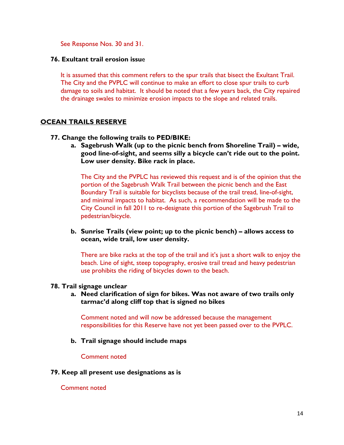See Response Nos. 30 and 31.

### **76. Exultant trail erosion issu**e

It is assumed that this comment refers to the spur trails that bisect the Exultant Trail. The City and the PVPLC will continue to make an effort to close spur trails to curb damage to soils and habitat. It should be noted that a few years back, the City repaired the drainage swales to minimize erosion impacts to the slope and related trails.

## **OCEAN TRAILS RESERVE**

- **77. Change the following trails to PED/BIKE:** 
	- **a. Sagebrush Walk (up to the picnic bench from Shoreline Trail) wide, good line-of-sight, and seems silly a bicycle can't ride out to the point. Low user density. Bike rack in place.**

The City and the PVPLC has reviewed this request and is of the opinion that the portion of the Sagebrush Walk Trail between the picnic bench and the East Boundary Trail is suitable for bicyclists because of the trail tread, line-of-sight, and minimal impacts to habitat. As such, a recommendation will be made to the City Council in fall 2011 to re-designate this portion of the Sagebrush Trail to pedestrian/bicycle.

**b. Sunrise Trails (view point; up to the picnic bench) – allows access to ocean, wide trail, low user density.** 

There are bike racks at the top of the trail and it's just a short walk to enjoy the beach. Line of sight, steep topography, erosive trail tread and heavy pedestrian use prohibits the riding of bicycles down to the beach.

#### **78. Trail signage unclear**

**a. Need clarification of sign for bikes. Was not aware of two trails only tarmac'd along cliff top that is signed no bikes** 

Comment noted and will now be addressed because the management responsibilities for this Reserve have not yet been passed over to the PVPLC.

**b. Trail signage should include maps** 

Comment noted

#### **79. Keep all present use designations as is**

#### Comment noted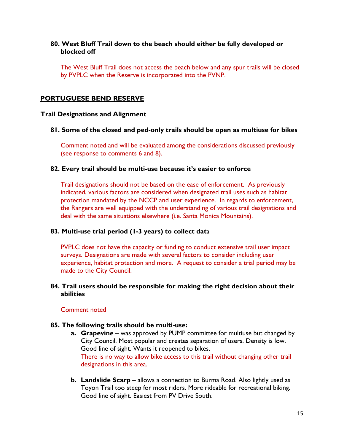# **80. West Bluff Trail down to the beach should either be fully developed or blocked off**

The West Bluff Trail does not access the beach below and any spur trails will be closed by PVPLC when the Reserve is incorporated into the PVNP.

# **PORTUGUESE BEND RESERVE**

## **Trail Designations and Alignment**

**81. Some of the closed and ped-only trails should be open as multiuse for bikes** 

Comment noted and will be evaluated among the considerations discussed previously (see response to comments 6 and 8).

### **82. Every trail should be multi-use because it's easier to enforce**

Trail designations should not be based on the ease of enforcement. As previously indicated, various factors are considered when designated trail uses such as habitat protection mandated by the NCCP and user experience. In regards to enforcement, the Rangers are well equipped with the understanding of various trail designations and deal with the same situations elsewhere (i.e. Santa Monica Mountains).

# **83. Multi-use trial period (1-3 years) to collect dat**a

PVPLC does not have the capacity or funding to conduct extensive trail user impact surveys. Designations are made with several factors to consider including user experience, habitat protection and more. A request to consider a trial period may be made to the City Council.

## **84. Trail users should be responsible for making the right decision about their abilities**

### Comment noted

### **85. The following trails should be multi-use:**

- **a. Grapevine** was approved by PUMP committee for multiuse but changed by City Council. Most popular and creates separation of users. Density is low. Good line of sight. Wants it reopened to bikes. There is no way to allow bike access to this trail without changing other trail designations in this area.
- **b. Landslide Scarp** allows a connection to Burma Road. Also lightly used as Toyon Trail too steep for most riders. More rideable for recreational biking. Good line of sight. Easiest from PV Drive South.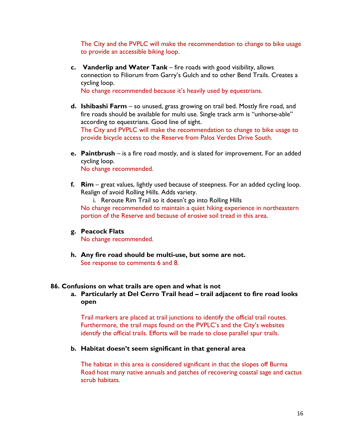The City and the PVPLC will make the recommendation to change to bike usage to provide an accessible biking loop.

**c. Vanderlip and Water Tank** – fire roads with good visibility, allows connection to Filiorum from Garry's Gulch and to other Bend Trails. Creates a cycling loop.

No change recommended because it's heavily used by equestrians.

- **d. Ishibashi Farm** so unused, grass growing on trail bed. Mostly fire road, and fire roads should be available for multi use. Single track arm is "unhorse-able" according to equestrians. Good line of sight. The City and PVPLC will make the recommendation to change to bike usage to provide bicycle access to the Reserve from Palos Verdes Drive South.
- **e. Paintbrush** is a fire road mostly, and is slated for improvement. For an added cycling loop. No change recommended.
- **f. Rim**  great values, lightly used because of steepness. For an added cycling loop. Realign of avoid Rolling Hills. Adds variety.

i. Reroute Rim Trail so it doesn't go into Rolling Hills No change recommended to maintain a quiet hiking experience in northeastern portion of the Reserve and because of erosive soil tread in this area.

### **g. Peacock Flats**

No change recommended.

**h. Any fire road should be multi-use, but some are not.**  See response to comments 6 and 8.

### **86. Confusions on what trails are open and what is not**

**a. Particularly at Del Cerro Trail head – trail adjacent to fire road looks open** 

Trail markers are placed at trail junctions to identify the official trail routes. Furthermore, the trail maps found on the PVPLC's and the City's websites identify the official trails. Efforts will be made to close parallel spur trails.

### **b. Habitat doesn't seem significant in that general area**

The habitat in this area is considered significant in that the slopes off Burma Road host many native annuals and patches of recovering coastal sage and cactus scrub habitats.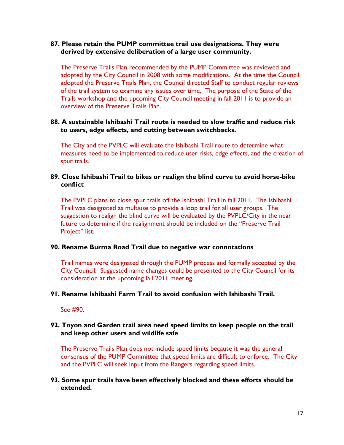## **87. Please retain the PUMP committee trail use designations. They were derived by extensive deliberation of a large user community.**

The Preserve Trails Plan recommended by the PUMP Committee was reviewed and adopted by the City Council in 2008 with some modifications. At the time the Council adopted the Preserve Trails Plan, the Council directed Staff to conduct regular reviews of the trail system to examine any issues over time. The purpose of the State of the Trails workshop and the upcoming City Council meeting in fall 2011 is to provide an overview of the Preserve Trails Plan.

# **88. A sustainable Ishibashi Trail route is needed to slow traffic and reduce risk to users, edge effects, and cutting between switchbacks.**

The City and the PVPLC will evaluate the Ishibashi Trail route to determine what measures need to be implemented to reduce user risks, edge effects, and the creation of spur trails.

## **89. Close Ishibashi Trail to bikes or realign the blind curve to avoid horse-bike conflict**

The PVPLC plans to close spur trails off the Ishibashi Trail in fall 2011. The Ishibashi Trail was designated as multiuse to provide a loop trail for all user groups. The suggestion to realign the blind curve will be evaluated by the PVPLC/City in the near future to determine if the realignment should be included on the "Preserve Trail Project" list.

## **90. Rename Burma Road Trail due to negative war connotations**

Trail names were designated through the PUMP process and formally accepted by the City Council. Suggested name changes could be presented to the City Council for its consideration at the upcoming fall 2011 meeting.

### **91. Rename Ishibashi Farm Trail to avoid confusion with Ishibashi Trail.**

See #90.

## **92. Toyon and Garden trail area need speed limits to keep people on the trail and keep other users and wildlife safe**

The Preserve Trails Plan does not include speed limits because it was the general consensus of the PUMP Committee that speed limits are difficult to enforce. The City and the PVPLC will seek input from the Rangers regarding speed limits.

# **93. Some spur trails have been effectively blocked and these efforts should be extended.**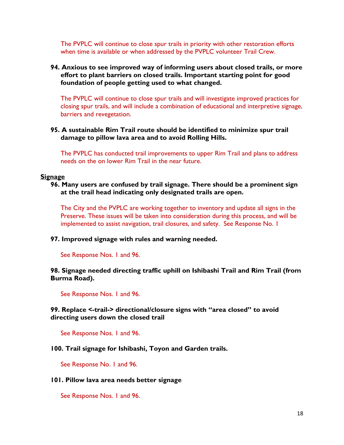The PVPLC will continue to close spur trails in priority with other restoration efforts when time is available or when addressed by the PVPLC volunteer Trail Crew.

# **94. Anxious to see improved way of informing users about closed trails, or more effort to plant barriers on closed trails. Important starting point for good foundation of people getting used to what changed.**

The PVPLC will continue to close spur trails and will investigate improved practices for closing spur trails, and will include a combination of educational and interpretive signage, barriers and revegetation.

**95. A sustainable Rim Trail route should be identified to minimize spur trail damage to pillow lava area and to avoid Rolling Hills.** 

The PVPLC has conducted trail improvements to upper Rim Trail and plans to address needs on the on lower Rim Trail in the near future.

### **Signage**

**96. Many users are confused by trail signage. There should be a prominent sign at the trail head indicating only designated trails are open.** 

The City and the PVPLC are working together to inventory and update all signs in the Preserve. These issues will be taken into consideration during this process, and will be implemented to assist navigation, trail closures, and safety. See Response No. 1

### **97. Improved signage with rules and warning needed.**

See Response Nos. 1 and 96.

# **98. Signage needed directing traffic uphill on Ishibashi Trail and Rim Trail (from Burma Road).**

See Response Nos. 1 and 96.

## **99. Replace <-trail-> directional/closure signs with "area closed" to avoid directing users down the closed trail**

See Response Nos. 1 and 96.

### **100. Trail signage for Ishibashi, Toyon and Garden trails.**

See Response No. 1 and 96.

### **101. Pillow lava area needs better signage**

See Response Nos. 1 and 96.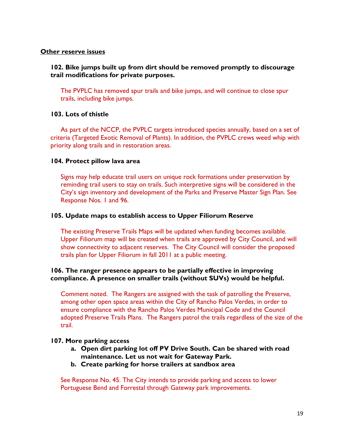#### **Other reserve issues**

### **102. Bike jumps built up from dirt should be removed promptly to discourage trail modifications for private purposes.**

The PVPLC has removed spur trails and bike jumps, and will continue to close spur trails, including bike jumps.

### **103. Lots of thistle**

As part of the NCCP, the PVPLC targets introduced species annually, based on a set of criteria (Targeted Exotic Removal of Plants). In addition, the PVPLC crews weed whip with priority along trails and in restoration areas.

### **104. Protect pillow lava area**

Signs may help educate trail users on unique rock formations under preservation by reminding trail users to stay on trails. Such interpretive signs will be considered in the City's sign inventory and development of the Parks and Preserve Master Sign Plan. See Response Nos. 1 and 96.

#### **105. Update maps to establish access to Upper Filiorum Reserve**

The existing Preserve Trails Maps will be updated when funding becomes available. Upper Filiorum map will be created when trails are approved by City Council, and will show connectivity to adjacent reserves. The City Council will consider the proposed trails plan for Upper Filiorum in fall 2011 at a public meeting.

## **106. The ranger presence appears to be partially effective in improving compliance. A presence on smaller trails (without SUVs) would be helpful.**

Comment noted. The Rangers are assigned with the task of patrolling the Preserve, among other open space areas within the City of Rancho Palos Verdes, in order to ensure compliance with the Rancho Palos Verdes Municipal Code and the Council adopted Preserve Trails Plans. The Rangers patrol the trails regardless of the size of the trail.

### **107. More parking access**

- **a. Open dirt parking lot off PV Drive South. Can be shared with road maintenance. Let us not wait for Gateway Park.**
- **b. Create parking for horse trailers at sandbox area**

See Response No. 45. The City intends to provide parking and access to lower Portuguese Bend and Forrestal through Gateway park improvements.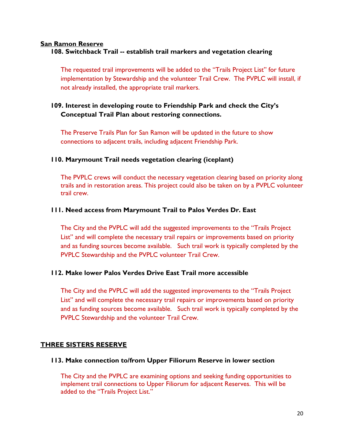### **San Ramon Reserve**

# **108. Switchback Trail -- establish trail markers and vegetation clearing**

The requested trail improvements will be added to the "Trails Project List" for future implementation by Stewardship and the volunteer Trail Crew. The PVPLC will install, if not already installed, the appropriate trail markers.

# **109. Interest in developing route to Friendship Park and check the City's Conceptual Trail Plan about restoring connections.**

The Preserve Trails Plan for San Ramon will be updated in the future to show connections to adjacent trails, including adjacent Friendship Park.

# **110. Marymount Trail needs vegetation clearing (iceplant)**

The PVPLC crews will conduct the necessary vegetation clearing based on priority along trails and in restoration areas. This project could also be taken on by a PVPLC volunteer trail crew.

# **111. Need access from Marymount Trail to Palos Verdes Dr. East**

The City and the PVPLC will add the suggested improvements to the "Trails Project List" and will complete the necessary trail repairs or improvements based on priority and as funding sources become available. Such trail work is typically completed by the PVPLC Stewardship and the PVPLC volunteer Trail Crew.

# **112. Make lower Palos Verdes Drive East Trail more accessible**

The City and the PVPLC will add the suggested improvements to the "Trails Project List" and will complete the necessary trail repairs or improvements based on priority and as funding sources become available. Such trail work is typically completed by the PVPLC Stewardship and the volunteer Trail Crew.

# **THREE SISTERS RESERVE**

### **113. Make connection to/from Upper Filiorum Reserve in lower section**

The City and the PVPLC are examining options and seeking funding opportunities to implement trail connections to Upper Filiorum for adjacent Reserves. This will be added to the "Trails Project List."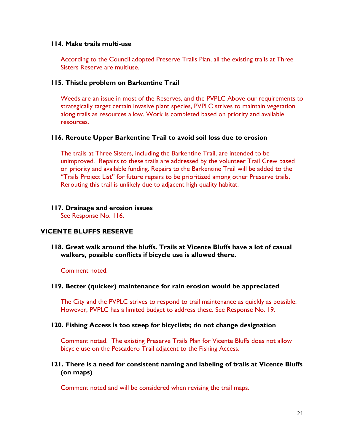#### **114. Make trails multi-use**

According to the Council adopted Preserve Trails Plan, all the existing trails at Three Sisters Reserve are multiuse.

### **115. Thistle problem on Barkentine Trail**

Weeds are an issue in most of the Reserves, and the PVPLC Above our requirements to strategically target certain invasive plant species, PVPLC strives to maintain vegetation along trails as resources allow. Work is completed based on priority and available resources.

## **116. Reroute Upper Barkentine Trail to avoid soil loss due to erosion**

The trails at Three Sisters, including the Barkentine Trail, are intended to be unimproved. Repairs to these trails are addressed by the volunteer Trail Crew based on priority and available funding. Repairs to the Barkentine Trail will be added to the "Trails Project List" for future repairs to be prioritized among other Preserve trails. Rerouting this trail is unlikely due to adjacent high quality habitat.

# **117. Drainage and erosion issues**

See Response No. 116.

# **VICENTE BLUFFS RESERVE**

**118. Great walk around the bluffs. Trails at Vicente Bluffs have a lot of casual walkers, possible conflicts if bicycle use is allowed there.** 

### Comment noted.

### **119. Better (quicker) maintenance for rain erosion would be appreciated**

The City and the PVPLC strives to respond to trail maintenance as quickly as possible. However, PVPLC has a limited budget to address these. See Response No. 19.

### **120. Fishing Access is too steep for bicyclists; do not change designation**

Comment noted. The existing Preserve Trails Plan for Vicente Bluffs does not allow bicycle use on the Pescadero Trail adjacent to the Fishing Access.

## **121. There is a need for consistent naming and labeling of trails at Vicente Bluffs (on maps)**

Comment noted and will be considered when revising the trail maps.